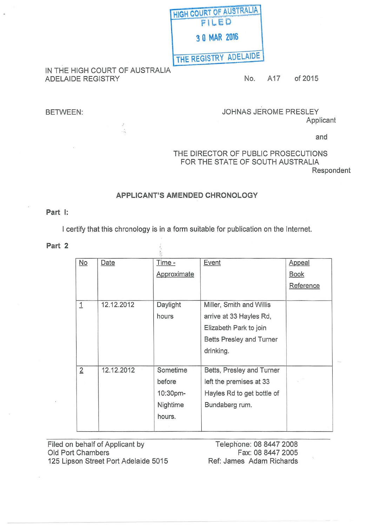| <b>HIGH COURT OF AUSTRALIA</b> |
|--------------------------------|
| FILED                          |
| 3 0 MAR 2016                   |
| THE REGISTRY ADELAIDE          |

### IN THE HIGH COURT OF AUSTRALIA ADELAIDE REGISTRY **No. 2015** No. A17 of 2015

 $\mathcal{J}$  $\ddot{\phi}$ 

# BETWEEN: JOHNAS JEROME PRESLEY Applicant

and

# THE DIRECTOR OF PUBLIC PROSECUTIONS FOR THE STATE OF SOUTH AUSTRALIA

Respondent

## APPLICANT'S AMENDED CHRONOLOGY

### Part 1:

I certify that this chronology is in a form suitable for publication on the Internet.

 $\frac{1}{2}$ 

Part 2

| No             | Date       | Time -      | <b>Event</b>               | Appeal      |
|----------------|------------|-------------|----------------------------|-------------|
|                |            | Approximate |                            | <b>Book</b> |
|                |            |             |                            | Reference   |
| $\overline{1}$ | 12.12.2012 | Daylight    | Miller, Smith and Willis   |             |
|                |            |             |                            |             |
|                |            | hours       | arrive at 33 Hayles Rd,    |             |
|                |            |             | Elizabeth Park to join     |             |
|                |            |             | Betts Presley and Turner   |             |
|                |            |             | drinking.                  |             |
| $\overline{2}$ | 12.12.2012 | Sometime    | Betts, Presley and Turner  |             |
|                |            | before      | left the premises at 33    |             |
|                |            | 10:30pm-    | Hayles Rd to get bottle of |             |
|                |            | Nightime    | Bundaberg rum.             |             |
|                |            | hours.      |                            |             |
|                |            |             |                            |             |

Filed on behalf of Applicant by Old Port Chambers 125 Lipson Street Port Adelaide 5015

Telephone: 08 8447 2008 Fax: 08 8447 2005 Ref: James Adam Richards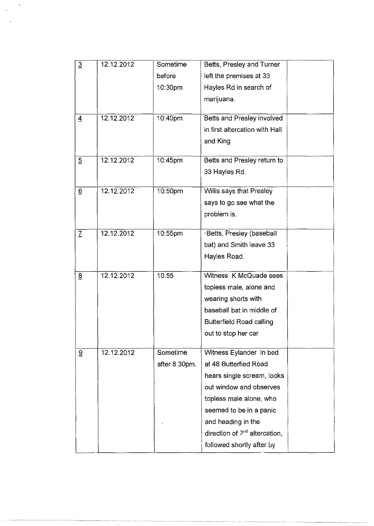| $\overline{3}$   | 12.12.2012 | Sometime      | Betts, Presley and Turner          |
|------------------|------------|---------------|------------------------------------|
|                  |            | before        | left the premises at 33            |
|                  |            | 10:30pm       | Hayles Rd in search of             |
|                  |            |               | marijuana.                         |
|                  |            |               |                                    |
| $\overline{4}$   | 12.12.2012 | 10:40pm       | Betts and Presley involved         |
|                  |            |               | in first altercation with Hall     |
|                  |            |               | and King                           |
| $\overline{5}$   | 12.12.2012 | 10:45pm       | Betts and Presley return to        |
|                  |            |               | 33 Hayles Rd.                      |
|                  |            |               |                                    |
| $6 \overline{6}$ | 12.12.2012 | 10:50pm       | Willis says that Presley           |
|                  |            |               | says to go see what the            |
|                  |            |               | problem is.                        |
| $\mathcal{I}$    | 12.12.2012 | 10:55pm       | ·Betts, Presley (baseball          |
|                  |            |               | bat) and Smith leave 33            |
|                  |            |               | Hayles Road.                       |
|                  |            |               |                                    |
| 8                | 12.12.2012 | 10.55         | Witness K McQuade sees             |
|                  |            |               | topless male, alone and            |
|                  |            |               | wearing shorts with                |
|                  |            |               | baseball bat in middle of          |
|                  |            |               | <b>Butterfield Road calling</b>    |
|                  |            |               | out to stop her car                |
| 9                | 12.12.2012 | Sometime      | Witness Eylander in bed            |
|                  |            | after 8 30pm. | at 48 Butterfied Road              |
|                  |            |               | hears single scream, looks         |
|                  |            |               | out window and observes            |
|                  |            |               | topless male alone, who            |
|                  |            |               | seemed to be in a panic            |
|                  |            |               | and heading in the                 |
|                  |            |               | direction of $2^{nd}$ altercation, |
|                  |            |               | followed shortly after by          |
|                  |            |               |                                    |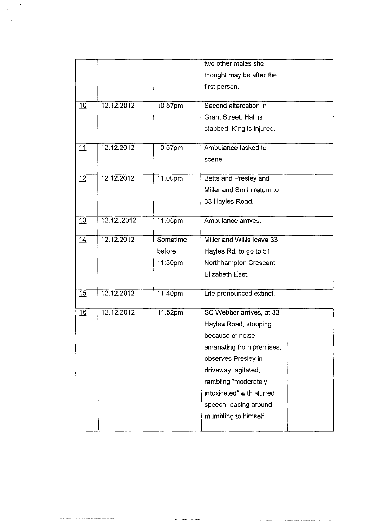|    |            |          | two other males she          |  |
|----|------------|----------|------------------------------|--|
|    |            |          | thought may be after the     |  |
|    |            |          | first person.                |  |
|    |            |          |                              |  |
| 10 | 12.12.2012 | 10 57pm  | Second altercation in        |  |
|    |            |          | <b>Grant Street: Hall is</b> |  |
|    |            |          | stabbed, King is injured.    |  |
| 11 | 12.12.2012 | 10 57pm  | Ambulance tasked to          |  |
|    |            |          | scene.                       |  |
|    |            |          |                              |  |
| 12 | 12.12.2012 | 11.00pm  | Betts and Presley and        |  |
|    |            |          | Miller and Smith return to   |  |
|    |            |          | 33 Hayles Road.              |  |
|    |            |          |                              |  |
| 13 | 12.122012  | 11.05pm  | Ambulance arrives.           |  |
| 14 | 12.12.2012 | Sometime | Miller and Willis leave 33   |  |
|    |            | before   | Hayles Rd, to go to 51       |  |
|    |            | 11:30pm  | Northhampton Crescent        |  |
|    |            |          | Elizabeth East.              |  |
| 15 | 12.12.2012 | 11 40pm  | Life pronounced extinct.     |  |
|    |            |          |                              |  |
| 16 | 12.12.2012 | 11.52pm  | SC Webber arrives, at 33     |  |
|    |            |          | Hayles Road, stopping        |  |
|    |            |          | because of noise             |  |
|    |            |          | emanating from premises,     |  |
|    |            |          | observes Presley in          |  |
|    |            |          | driveway, agitated,          |  |
|    |            |          | rambling "moderately         |  |
|    |            |          | intoxicated" with slurred    |  |
|    |            |          | speech, pacing around        |  |
|    |            |          | mumbling to himself.         |  |
|    |            |          |                              |  |